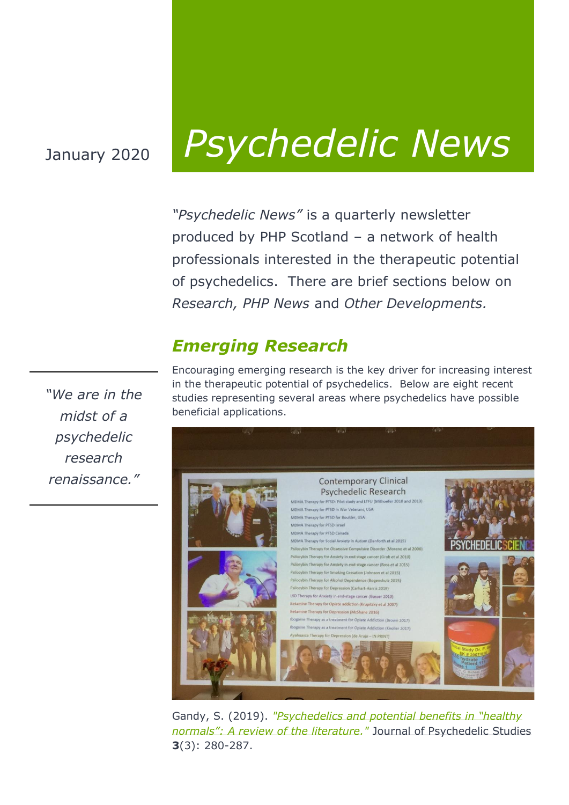# January 2020 *Psychedelic News*

*"Psychedelic News"* is a quarterly newsletter produced by PHP Scotland – a network of health professionals interested in the therapeutic potential of psychedelics. There are brief sections below on *Research, PHP News* and *Other Developments.*

## *Emerging Research*

*"We are in the midst of a psychedelic research renaissance."*

Encouraging emerging research is the key driver for increasing interest in the therapeutic potential of psychedelics. Below are eight recent studies representing several areas where psychedelics have possible beneficial applications.



Gandy, S. (2019). *"[Psychedelics and potential benefits in "healthy](https://akademiai.com/doi/abs/10.1556/2054.2019.029)  [normals": A review of the literature](https://akademiai.com/doi/abs/10.1556/2054.2019.029)."* Journal of Psychedelic Studies **3**(3): 280-287.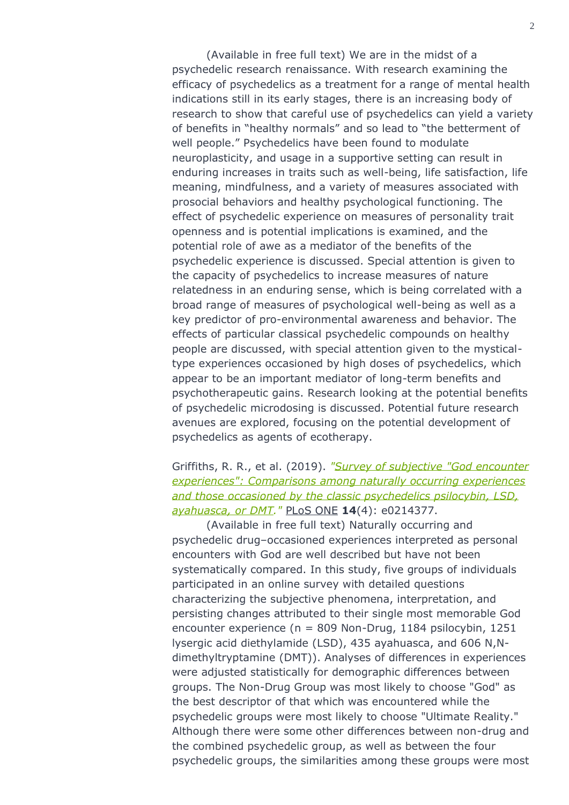(Available in free full text) We are in the midst of a psychedelic research renaissance. With research examining the efficacy of psychedelics as a treatment for a range of mental health indications still in its early stages, there is an increasing body of research to show that careful use of psychedelics can yield a variety of benefits in "healthy normals" and so lead to "the betterment of well people." Psychedelics have been found to modulate neuroplasticity, and usage in a supportive setting can result in enduring increases in traits such as well-being, life satisfaction, life meaning, mindfulness, and a variety of measures associated with prosocial behaviors and healthy psychological functioning. The effect of psychedelic experience on measures of personality trait openness and is potential implications is examined, and the potential role of awe as a mediator of the benefits of the psychedelic experience is discussed. Special attention is given to the capacity of psychedelics to increase measures of nature relatedness in an enduring sense, which is being correlated with a broad range of measures of psychological well-being as well as a key predictor of pro-environmental awareness and behavior. The effects of particular classical psychedelic compounds on healthy people are discussed, with special attention given to the mysticaltype experiences occasioned by high doses of psychedelics, which appear to be an important mediator of long-term benefits and psychotherapeutic gains. Research looking at the potential benefits of psychedelic microdosing is discussed. Potential future research avenues are explored, focusing on the potential development of psychedelics as agents of ecotherapy.

Griffiths, R. R., et al. (2019). *["Survey of subjective "God encounter](https://doi.org/10.1371/journal.pone.0214377)  [experiences": Comparisons among naturally occurring experiences](https://doi.org/10.1371/journal.pone.0214377)  [and those occasioned by the classic psychedelics psilocybin, LSD,](https://doi.org/10.1371/journal.pone.0214377)  [ayahuasca, or DMT.](https://doi.org/10.1371/journal.pone.0214377)"* PLoS ONE **14**(4): e0214377.

(Available in free full text) Naturally occurring and psychedelic drug–occasioned experiences interpreted as personal encounters with God are well described but have not been systematically compared. In this study, five groups of individuals participated in an online survey with detailed questions characterizing the subjective phenomena, interpretation, and persisting changes attributed to their single most memorable God encounter experience (n = 809 Non-Drug, 1184 psilocybin, 1251 lysergic acid diethylamide (LSD), 435 ayahuasca, and 606 N,Ndimethyltryptamine (DMT)). Analyses of differences in experiences were adjusted statistically for demographic differences between groups. The Non-Drug Group was most likely to choose "God" as the best descriptor of that which was encountered while the psychedelic groups were most likely to choose "Ultimate Reality." Although there were some other differences between non-drug and the combined psychedelic group, as well as between the four psychedelic groups, the similarities among these groups were most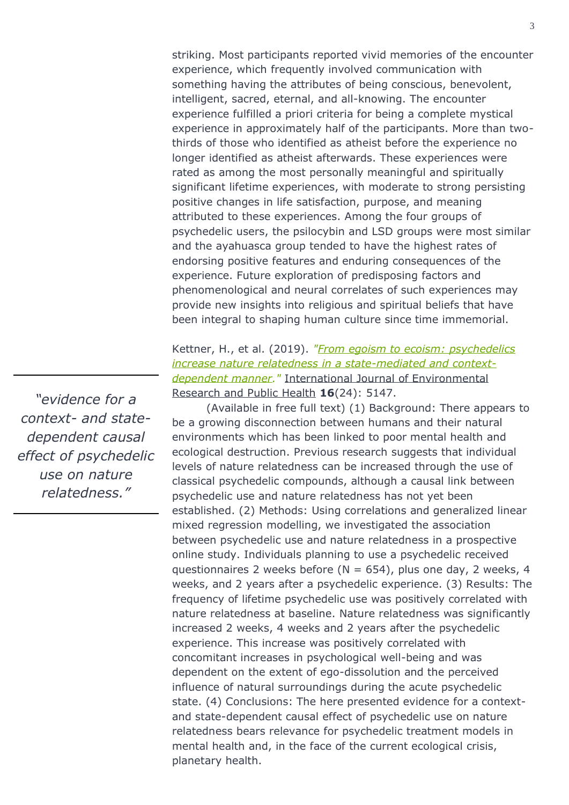striking. Most participants reported vivid memories of the encounter experience, which frequently involved communication with something having the attributes of being conscious, benevolent, intelligent, sacred, eternal, and all-knowing. The encounter experience fulfilled a priori criteria for being a complete mystical experience in approximately half of the participants. More than twothirds of those who identified as atheist before the experience no longer identified as atheist afterwards. These experiences were rated as among the most personally meaningful and spiritually significant lifetime experiences, with moderate to strong persisting positive changes in life satisfaction, purpose, and meaning attributed to these experiences. Among the four groups of psychedelic users, the psilocybin and LSD groups were most similar and the ayahuasca group tended to have the highest rates of endorsing positive features and enduring consequences of the experience. Future exploration of predisposing factors and phenomenological and neural correlates of such experiences may provide new insights into religious and spiritual beliefs that have been integral to shaping human culture since time immemorial.

## Kettner, H., et al. (2019). *["From egoism to ecoism: psychedelics](https://www.mdpi.com/1660-4601/16/24/5147)  [increase nature relatedness in a state-mediated and context](https://www.mdpi.com/1660-4601/16/24/5147)[dependent manner.](https://www.mdpi.com/1660-4601/16/24/5147)"* International Journal of Environmental Research and Public Health **16**(24): 5147.

(Available in free full text) (1) Background: There appears to be a growing disconnection between humans and their natural environments which has been linked to poor mental health and ecological destruction. Previous research suggests that individual levels of nature relatedness can be increased through the use of classical psychedelic compounds, although a causal link between psychedelic use and nature relatedness has not yet been established. (2) Methods: Using correlations and generalized linear mixed regression modelling, we investigated the association between psychedelic use and nature relatedness in a prospective online study. Individuals planning to use a psychedelic received questionnaires 2 weeks before ( $N = 654$ ), plus one day, 2 weeks, 4 weeks, and 2 years after a psychedelic experience. (3) Results: The frequency of lifetime psychedelic use was positively correlated with nature relatedness at baseline. Nature relatedness was significantly increased 2 weeks, 4 weeks and 2 years after the psychedelic experience. This increase was positively correlated with concomitant increases in psychological well-being and was dependent on the extent of ego-dissolution and the perceived influence of natural surroundings during the acute psychedelic state. (4) Conclusions: The here presented evidence for a contextand state-dependent causal effect of psychedelic use on nature relatedness bears relevance for psychedelic treatment models in mental health and, in the face of the current ecological crisis, planetary health.

*"evidence for a context- and statedependent causal effect of psychedelic use on nature relatedness."*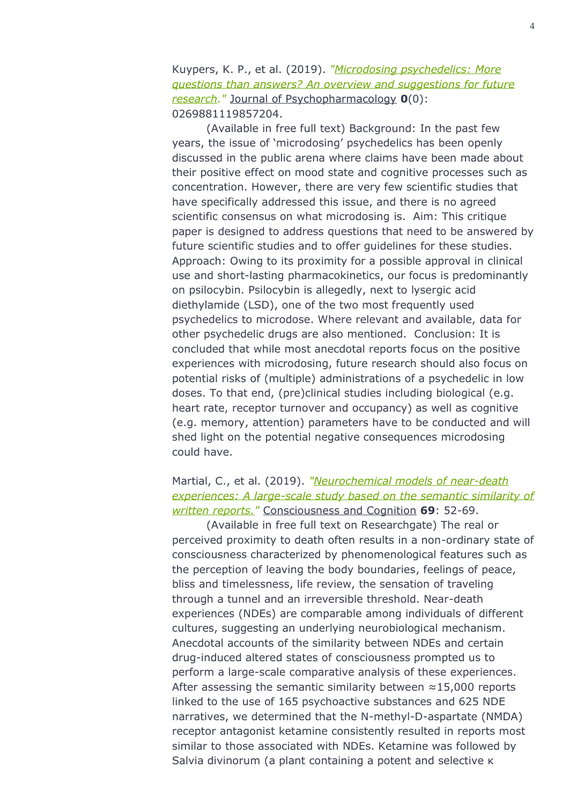Kuypers, K. P., et al. (2019). *["Microdosing psychedelics: More](https://journals.sagepub.com/doi/abs/10.1177/0269881119857204)  [questions than answers? An overview and suggestions for future](https://journals.sagepub.com/doi/abs/10.1177/0269881119857204)  [research.](https://journals.sagepub.com/doi/abs/10.1177/0269881119857204)"* Journal of Psychopharmacology **0**(0): 0269881119857204.

(Available in free full text) Background: In the past few years, the issue of 'microdosing' psychedelics has been openly discussed in the public arena where claims have been made about their positive effect on mood state and cognitive processes such as concentration. However, there are very few scientific studies that have specifically addressed this issue, and there is no agreed scientific consensus on what microdosing is. Aim: This critique paper is designed to address questions that need to be answered by future scientific studies and to offer guidelines for these studies. Approach: Owing to its proximity for a possible approval in clinical use and short-lasting pharmacokinetics, our focus is predominantly on psilocybin. Psilocybin is allegedly, next to lysergic acid diethylamide (LSD), one of the two most frequently used psychedelics to microdose. Where relevant and available, data for other psychedelic drugs are also mentioned. Conclusion: It is concluded that while most anecdotal reports focus on the positive experiences with microdosing, future research should also focus on potential risks of (multiple) administrations of a psychedelic in low doses. To that end, (pre)clinical studies including biological (e.g. heart rate, receptor turnover and occupancy) as well as cognitive (e.g. memory, attention) parameters have to be conducted and will shed light on the potential negative consequences microdosing could have.

## Martial, C., et al. (2019). *["Neurochemical models of near-death](http://www.sciencedirect.com/science/article/pii/S105381001830535X)  [experiences: A large-scale study based on the semantic similarity of](http://www.sciencedirect.com/science/article/pii/S105381001830535X)  [written reports."](http://www.sciencedirect.com/science/article/pii/S105381001830535X)* Consciousness and Cognition **69**: 52-69.

(Available in free full text on Researchgate) The real or perceived proximity to death often results in a non-ordinary state of consciousness characterized by phenomenological features such as the perception of leaving the body boundaries, feelings of peace, bliss and timelessness, life review, the sensation of traveling through a tunnel and an irreversible threshold. Near-death experiences (NDEs) are comparable among individuals of different cultures, suggesting an underlying neurobiological mechanism. Anecdotal accounts of the similarity between NDEs and certain drug-induced altered states of consciousness prompted us to perform a large-scale comparative analysis of these experiences. After assessing the semantic similarity between  $\approx$ 15,000 reports linked to the use of 165 psychoactive substances and 625 NDE narratives, we determined that the N-methyl-D-aspartate (NMDA) receptor antagonist ketamine consistently resulted in reports most similar to those associated with NDEs. Ketamine was followed by Salvia divinorum (a plant containing a potent and selective κ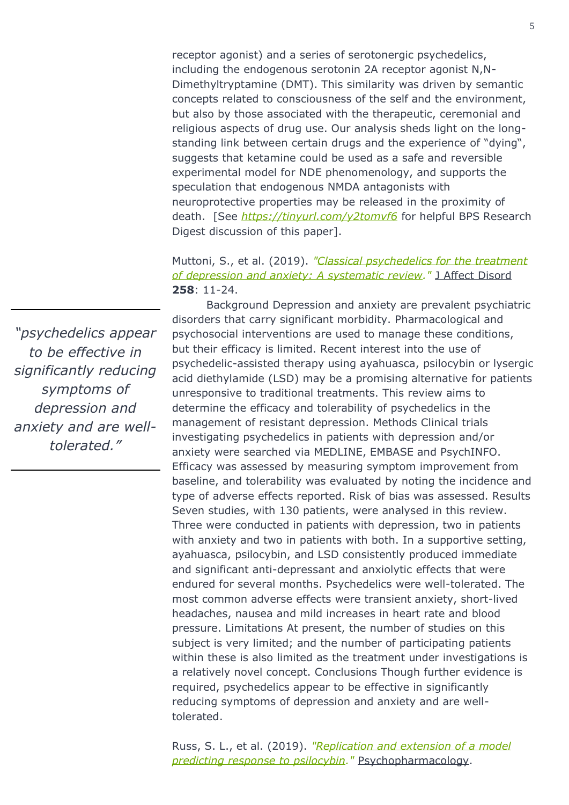receptor agonist) and a series of serotonergic psychedelics, including the endogenous serotonin 2A receptor agonist N,N-Dimethyltryptamine (DMT). This similarity was driven by semantic concepts related to consciousness of the self and the environment, but also by those associated with the therapeutic, ceremonial and religious aspects of drug use. Our analysis sheds light on the longstanding link between certain drugs and the experience of "dying", suggests that ketamine could be used as a safe and reversible experimental model for NDE phenomenology, and supports the speculation that endogenous NMDA antagonists with neuroprotective properties may be released in the proximity of death. [See *<https://tinyurl.com/y2tomvf6>* for helpful BPS Research Digest discussion of this paper].

## Muttoni, S., et al. (2019). *["Classical psychedelics for the treatment](http://www.sciencedirect.com/science/article/pii/S0165032719309127)  [of depression and anxiety: A systematic review.](http://www.sciencedirect.com/science/article/pii/S0165032719309127)"* J Affect Disord **258**: 11-24.

*"psychedelics appear to be effective in significantly reducing symptoms of depression and anxiety and are welltolerated."*

Background Depression and anxiety are prevalent psychiatric disorders that carry significant morbidity. Pharmacological and psychosocial interventions are used to manage these conditions, but their efficacy is limited. Recent interest into the use of psychedelic-assisted therapy using ayahuasca, psilocybin or lysergic acid diethylamide (LSD) may be a promising alternative for patients unresponsive to traditional treatments. This review aims to determine the efficacy and tolerability of psychedelics in the management of resistant depression. Methods Clinical trials investigating psychedelics in patients with depression and/or anxiety were searched via MEDLINE, EMBASE and PsychINFO. Efficacy was assessed by measuring symptom improvement from baseline, and tolerability was evaluated by noting the incidence and type of adverse effects reported. Risk of bias was assessed. Results Seven studies, with 130 patients, were analysed in this review. Three were conducted in patients with depression, two in patients with anxiety and two in patients with both. In a supportive setting, ayahuasca, psilocybin, and LSD consistently produced immediate and significant anti-depressant and anxiolytic effects that were endured for several months. Psychedelics were well-tolerated. The most common adverse effects were transient anxiety, short-lived headaches, nausea and mild increases in heart rate and blood pressure. Limitations At present, the number of studies on this subject is very limited; and the number of participating patients within these is also limited as the treatment under investigations is a relatively novel concept. Conclusions Though further evidence is required, psychedelics appear to be effective in significantly reducing symptoms of depression and anxiety and are welltolerated.

Russ, S. L., et al. (2019). *["Replication and extension of a model](https://doi.org/10.1007/s00213-019-05279-z)  [predicting response to psilocybin.](https://doi.org/10.1007/s00213-019-05279-z)"* Psychopharmacology.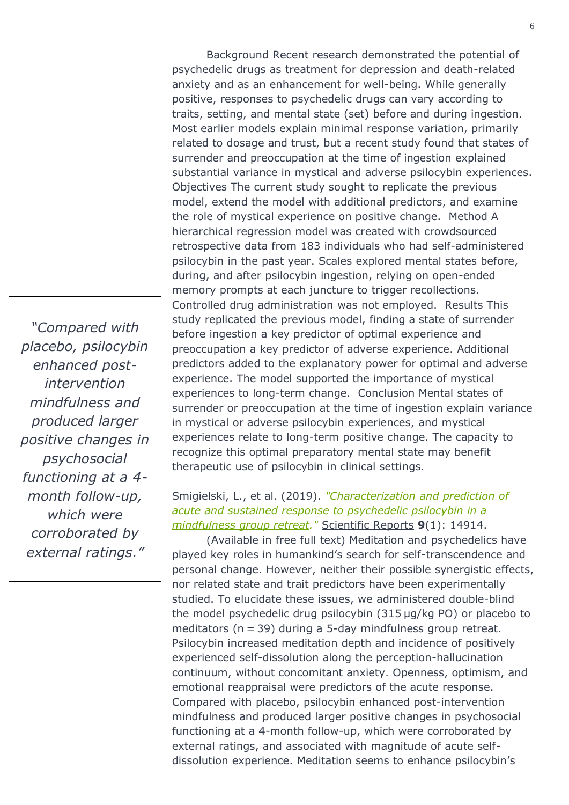Background Recent research demonstrated the potential of psychedelic drugs as treatment for depression and death-related anxiety and as an enhancement for well-being. While generally positive, responses to psychedelic drugs can vary according to traits, setting, and mental state (set) before and during ingestion. Most earlier models explain minimal response variation, primarily related to dosage and trust, but a recent study found that states of surrender and preoccupation at the time of ingestion explained substantial variance in mystical and adverse psilocybin experiences. Objectives The current study sought to replicate the previous model, extend the model with additional predictors, and examine the role of mystical experience on positive change. Method A hierarchical regression model was created with crowdsourced retrospective data from 183 individuals who had self-administered psilocybin in the past year. Scales explored mental states before, during, and after psilocybin ingestion, relying on open-ended memory prompts at each juncture to trigger recollections. Controlled drug administration was not employed. Results This study replicated the previous model, finding a state of surrender before ingestion a key predictor of optimal experience and preoccupation a key predictor of adverse experience. Additional predictors added to the explanatory power for optimal and adverse experience. The model supported the importance of mystical experiences to long-term change. Conclusion Mental states of surrender or preoccupation at the time of ingestion explain variance in mystical or adverse psilocybin experiences, and mystical experiences relate to long-term positive change. The capacity to recognize this optimal preparatory mental state may benefit therapeutic use of psilocybin in clinical settings.

## Smigielski, L., et al. (2019). *["Characterization and prediction of](https://doi.org/10.1038/s41598-019-50612-3)  [acute and sustained response to psychedelic psilocybin in a](https://doi.org/10.1038/s41598-019-50612-3)  [mindfulness group retreat.](https://doi.org/10.1038/s41598-019-50612-3)"* Scientific Reports **9**(1): 14914.

(Available in free full text) Meditation and psychedelics have played key roles in humankind's search for self-transcendence and personal change. However, neither their possible synergistic effects, nor related state and trait predictors have been experimentally studied. To elucidate these issues, we administered double-blind the model psychedelic drug psilocybin (315 μg/kg PO) or placebo to meditators (n = 39) during a 5-day mindfulness group retreat. Psilocybin increased meditation depth and incidence of positively experienced self-dissolution along the perception-hallucination continuum, without concomitant anxiety. Openness, optimism, and emotional reappraisal were predictors of the acute response. Compared with placebo, psilocybin enhanced post-intervention mindfulness and produced larger positive changes in psychosocial functioning at a 4-month follow-up, which were corroborated by external ratings, and associated with magnitude of acute selfdissolution experience. Meditation seems to enhance psilocybin's

*"Compared with placebo, psilocybin enhanced postintervention mindfulness and produced larger positive changes in psychosocial functioning at a 4 month follow-up, which were corroborated by external ratings."*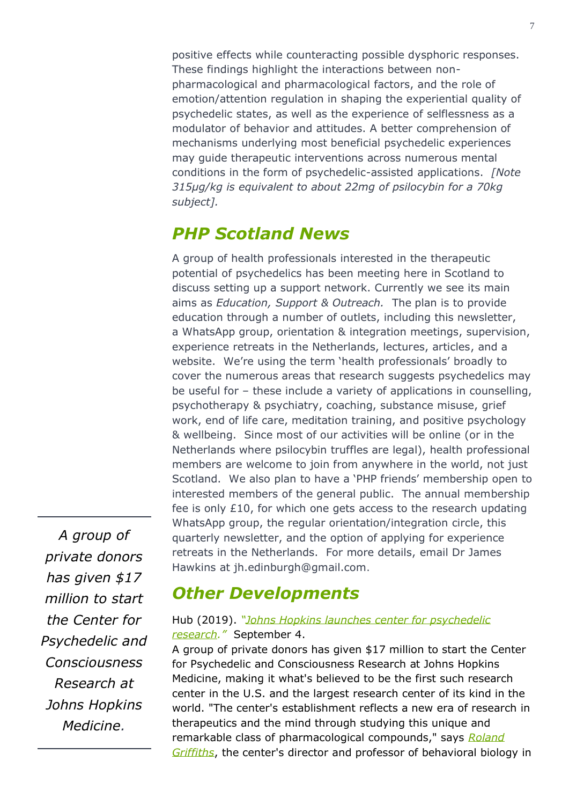positive effects while counteracting possible dysphoric responses. These findings highlight the interactions between nonpharmacological and pharmacological factors, and the role of emotion/attention regulation in shaping the experiential quality of psychedelic states, as well as the experience of selflessness as a modulator of behavior and attitudes. A better comprehension of mechanisms underlying most beneficial psychedelic experiences may guide therapeutic interventions across numerous mental conditions in the form of psychedelic-assisted applications. *[Note 315μg/kg is equivalent to about 22mg of psilocybin for a 70kg subject].*

## *PHP Scotland News*

A group of health professionals interested in the therapeutic potential of psychedelics has been meeting here in Scotland to discuss setting up a support network. Currently we see its main aims as *Education, Support & Outreach.* The plan is to provide education through a number of outlets, including this newsletter, a WhatsApp group, orientation & integration meetings, supervision, experience retreats in the Netherlands, lectures, articles, and a website. We're using the term 'health professionals' broadly to cover the numerous areas that research suggests psychedelics may be useful for – these include a variety of applications in counselling, psychotherapy & psychiatry, coaching, substance misuse, grief work, end of life care, meditation training, and positive psychology & wellbeing. Since most of our activities will be online (or in the Netherlands where psilocybin truffles are legal), health professional members are welcome to join from anywhere in the world, not just Scotland. We also plan to have a 'PHP friends' membership open to interested members of the general public. The annual membership fee is only £10, for which one gets access to the research updating WhatsApp group, the regular orientation/integration circle, this quarterly newsletter, and the option of applying for experience retreats in the Netherlands. For more details, email Dr James Hawkins at jh.edinburgh@gmail.com.

*A group of private donors has given \$17 million to start the Center for Psychedelic and Consciousness Research at Johns Hopkins Medicine.*

## *Other Developments*

### Hub (2019). *"[Johns Hopkins launches center for psychedelic](https://hub.jhu.edu/2019/09/04/hopkins-launches-psychedelic-center/)  [research](https://hub.jhu.edu/2019/09/04/hopkins-launches-psychedelic-center/)."* September 4.

A group of private donors has given \$17 million to start the Center for Psychedelic and Consciousness Research at Johns Hopkins Medicine, making it what's believed to be the first such research center in the U.S. and the largest research center of its kind in the world. "The center's establishment reflects a new era of research in therapeutics and the mind through studying this unique and remarkable class of pharmacological compounds," says *[Roland](https://www.hopkinsmedicine.org/profiles/results/directory/profile/1311852/roland-griffiths)  [Griffiths](https://www.hopkinsmedicine.org/profiles/results/directory/profile/1311852/roland-griffiths)*, the center's director and professor of behavioral biology in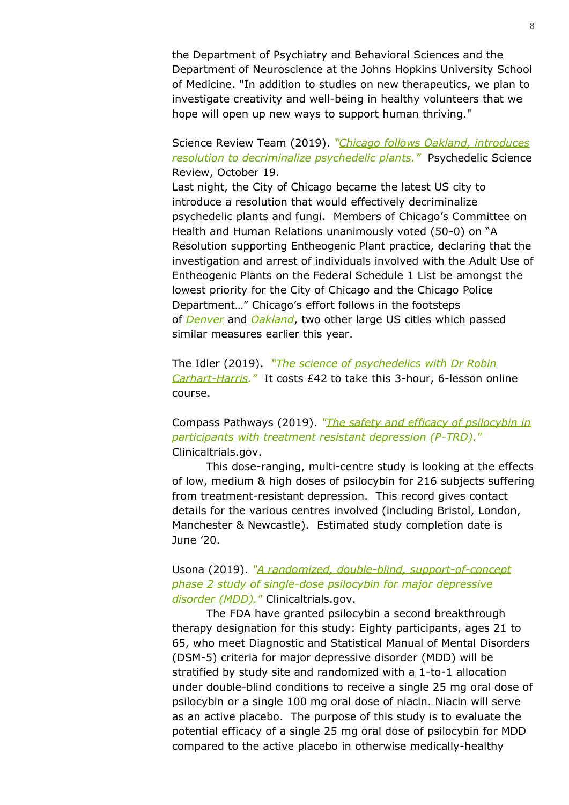the Department of Psychiatry and Behavioral Sciences and the Department of Neuroscience at the Johns Hopkins University School of Medicine. "In addition to studies on new therapeutics, we plan to investigate creativity and well-being in healthy volunteers that we hope will open up new ways to support human thriving."

Science Review Team (2019). *"[Chicago follows Oakland, introduces](https://psychedelicreview.com/chicago-follows-oakland-decriminalizes-psychedelic-plants/)  [resolution to decriminalize psychedelic plants](https://psychedelicreview.com/chicago-follows-oakland-decriminalizes-psychedelic-plants/)."* Psychedelic Science Review, October 19.

Last night, the City of Chicago became the latest US city to introduce a resolution that would effectively decriminalize psychedelic plants and fungi. Members of Chicago's Committee on Health and Human Relations unanimously voted (50-0) on "A Resolution supporting Entheogenic Plant practice, declaring that the investigation and arrest of individuals involved with the Adult Use of Entheogenic Plants on the Federal Schedule 1 List be amongst the lowest priority for the City of Chicago and the Chicago Police Department…" Chicago's effort follows in the footsteps of *[Denver](https://psychedelicreview.com/new-results-show-denvers-magic-mushroom-measure-passing/)* and *[Oakland](https://psychedelicreview.com/event/oakland-ca-decriminalizes-the-cultivation-and-possession-of-some-psychedelics/)*, two other large US cities which passed similar measures earlier this year.

The Idler (2019). *"[The science of psychedelics with Dr Robin](https://www.idler.co.uk/product/the-science-of-psychedelics/)  [Carhart-Harris](https://www.idler.co.uk/product/the-science-of-psychedelics/)."* It costs £42 to take this 3-hour, 6-lesson online course.

Compass Pathways (2019). *["The safety and efficacy of psilocybin in](https://clinicaltrials.gov/ct2/show/NCT03775200?intr=%22Psilocybin%22&draw=4&rank=21)  [participants with treatment resistant depression \(P-TRD\).](https://clinicaltrials.gov/ct2/show/NCT03775200?intr=%22Psilocybin%22&draw=4&rank=21)"* Clinicaltrials.gov.

This dose-ranging, multi-centre study is looking at the effects of low, medium & high doses of psilocybin for 216 subjects suffering from treatment-resistant depression. This record gives contact details for the various centres involved (including Bristol, London, Manchester & Newcastle). Estimated study completion date is June '20.

## Usona (2019). *["A randomized, double-blind, support-of-concept](https://clinicaltrials.gov/ct2/show/NCT03866174)  [phase 2 study of single-dose psilocybin for major depressive](https://clinicaltrials.gov/ct2/show/NCT03866174)  [disorder \(MDD\).](https://clinicaltrials.gov/ct2/show/NCT03866174)"* Clinicaltrials.gov.

The FDA have granted psilocybin a second breakthrough therapy designation for this study: Eighty participants, ages 21 to 65, who meet Diagnostic and Statistical Manual of Mental Disorders (DSM-5) criteria for major depressive disorder (MDD) will be stratified by study site and randomized with a 1-to-1 allocation under double-blind conditions to receive a single 25 mg oral dose of psilocybin or a single 100 mg oral dose of niacin. Niacin will serve as an active placebo. The purpose of this study is to evaluate the potential efficacy of a single 25 mg oral dose of psilocybin for MDD compared to the active placebo in otherwise medically-healthy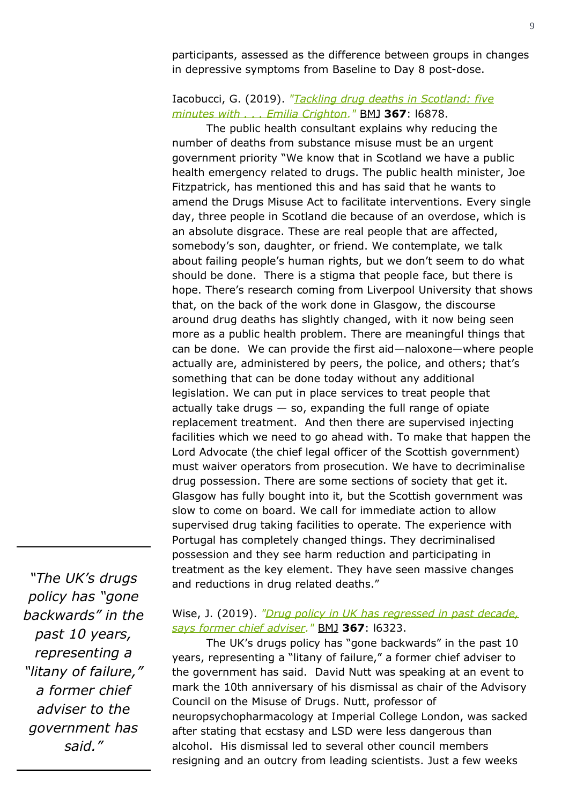participants, assessed as the difference between groups in changes in depressive symptoms from Baseline to Day 8 post-dose.

#### Iacobucci, G. (2019). *["Tackling drug deaths in Scotland: five](https://www.bmj.com/content/bmj/367/bmj.l6878.full.pdf)  [minutes with . . . Emilia Crighton.](https://www.bmj.com/content/bmj/367/bmj.l6878.full.pdf)"* BMJ **367**: l6878.

The public health consultant explains why reducing the number of deaths from substance misuse must be an urgent government priority "We know that in Scotland we have a public health emergency related to drugs. The public health minister, Joe Fitzpatrick, has mentioned this and has said that he wants to amend the Drugs Misuse Act to facilitate interventions. Every single day, three people in Scotland die because of an overdose, which is an absolute disgrace. These are real people that are affected, somebody's son, daughter, or friend. We contemplate, we talk about failing people's human rights, but we don't seem to do what should be done. There is a stigma that people face, but there is hope. There's research coming from Liverpool University that shows that, on the back of the work done in Glasgow, the discourse around drug deaths has slightly changed, with it now being seen more as a public health problem. There are meaningful things that can be done. We can provide the first aid—naloxone—where people actually are, administered by peers, the police, and others; that's something that can be done today without any additional legislation. We can put in place services to treat people that actually take drugs — so, expanding the full range of opiate replacement treatment. And then there are supervised injecting facilities which we need to go ahead with. To make that happen the Lord Advocate (the chief legal officer of the Scottish government) must waiver operators from prosecution. We have to decriminalise drug possession. There are some sections of society that get it. Glasgow has fully bought into it, but the Scottish government was slow to come on board. We call for immediate action to allow supervised drug taking facilities to operate. The experience with Portugal has completely changed things. They decriminalised possession and they see harm reduction and participating in treatment as the key element. They have seen massive changes and reductions in drug related deaths."

*"The UK's drugs policy has "gone backwards" in the past 10 years, representing a "litany of failure," a former chief adviser to the government has said."*

#### Wise, J. (2019). *["Drug policy in UK has regressed in past decade,](https://www.bmj.com/content/bmj/367/bmj.l6323.full.pdf)  [says former chief adviser.](https://www.bmj.com/content/bmj/367/bmj.l6323.full.pdf)"* BMJ **367**: l6323.

The UK's drugs policy has "gone backwards" in the past 10 years, representing a "litany of failure," a former chief adviser to the government has said. David Nutt was speaking at an event to mark the 10th anniversary of his dismissal as chair of the Advisory Council on the Misuse of Drugs. Nutt, professor of neuropsychopharmacology at Imperial College London, was sacked after stating that ecstasy and LSD were less dangerous than alcohol. His dismissal led to several other council members resigning and an outcry from leading scientists. Just a few weeks